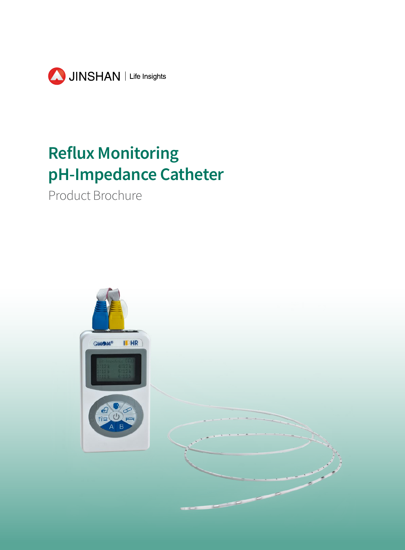

# **Reflux Monitoring pH-Impedance Catheter**

Product Brochure

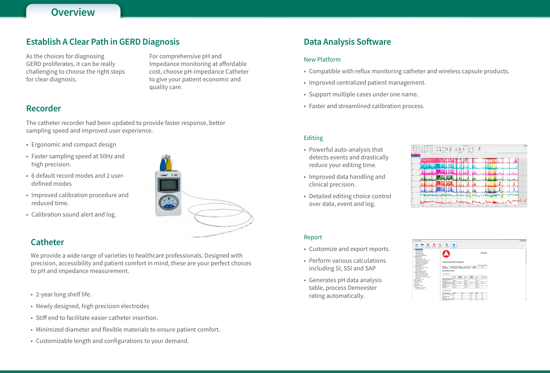# **Overview**

# **Data Analysis Software**

### New Platform

- Compatible with reflux monitoring catheter and wireless capsule products.
- Improved centralized patient management.
- Support multiple cases under one name.
- Faster and streamlined calibration process.

#### Report

- Customize and export reports.
- Perform various calculations including SI, SSI and SAP
- Generates pH data analysis table, process Demeester rating automatically.





| $-101x$ |                     |                       |                     |                  |                                                                  |                       |                     |                                                       |                 |                                                                   |                                       |                                                                                                                                                                                             | uarquivalnerg                                                                                                |  |
|---------|---------------------|-----------------------|---------------------|------------------|------------------------------------------------------------------|-----------------------|---------------------|-------------------------------------------------------|-----------------|-------------------------------------------------------------------|---------------------------------------|---------------------------------------------------------------------------------------------------------------------------------------------------------------------------------------------|--------------------------------------------------------------------------------------------------------------|--|
|         |                     |                       |                     |                  |                                                                  |                       | ۰<br><b>Sena</b>    | ß.<br>Edificat                                        | 既<br>Sweet Text | Đ                                                                 | Ξ<br>Several World, Save as FOR       | ⊷<br><b>Post</b>                                                                                                                                                                            | ь<br>sias.                                                                                                   |  |
| ۸       |                     | XXHospital            |                     |                  |                                                                  |                       |                     | Impedance-pH Monitoring Report                        |                 |                                                                   | Nethal Province Extent Catagory Table | <sup>1</sup> Democrac Score<br><sup>7</sup> Box-Dohoe Score<br>Infaria Score/Venderplan)<br><sup>1</sup> Refus Calence Take<br>- Refus Renze of Impedence<br>Bota Calalance Tele table BCT; | <b><i><u>Alignal Mays</u></i></b><br>The Arid Result<br>And Express<br>edance finault<br><b>Bellus Tatie</b> |  |
|         |                     | Study Des: 01/25/2018 |                     |                  |                                                                  |                       |                     |                                                       |                 |                                                                   |                                       | <b>Brite Express Tree BET:</b><br><b>Tellur Ernste Take</b>                                                                                                                                 |                                                                                                              |  |
|         | Male                |                       | <b>Detailer</b>     | <b>Starker</b>   | <b>Brothers</b> , yues<br><b>CONSTRUCTION OF A REAL PROPERTY</b> |                       | 02080120151542 Name | Patient ID<br><b>Exercisation 6:</b>                  |                 | eterandal Dala<br>Postewolal Analysis Sellings<br>Sing Expansions |                                       |                                                                                                                                                                                             |                                                                                                              |  |
|         | <b>Normal/Vetal</b> |                       | <b>Setal</b>        | Normal           | <b>Toghia</b>                                                    | Normal                | <b>Invistr</b>      | pH Analysis Results<br>* Acid Exposure                |                 |                                                                   | 1-Sumptom Association ProtestaburSAP: | <b>Biska Exposure TimeSET)</b><br>righter, Result Impediators'<br><sup>2</sup> Symptom Correnter to Before<br><sup>2</sup> Sumpton index for Behavilli<br>Sumplier Service Index SSL        |                                                                                                              |  |
|         |                     |                       | 袈                   | <b>Zhalfred</b>  |                                                                  | <b>Blackett</b>       |                     | Number of Acid Sepasyre BS                            |                 |                                                                   |                                       |                                                                                                                                                                                             | Selfrank                                                                                                     |  |
|         |                     |                       | 00 31 10            |                  | DOOL OR                                                          |                       | bo so co            | And Genesure Tone                                     |                 |                                                                   |                                       | eteice Refus Sale                                                                                                                                                                           | ry Date Tasse                                                                                                |  |
|         |                     |                       |                     |                  |                                                                  |                       |                     | (Milesmaa)                                            |                 |                                                                   |                                       |                                                                                                                                                                                             | <b>Ward Completie</b>                                                                                        |  |
|         | 3n4.23              |                       | 2.2                 | ba za            | 0.2                                                              | 14.1                  | 1.7                 | Acid Exposure Fimathi<br>Average Arid Cleartime       |                 |                                                                   |                                       |                                                                                                                                                                                             | Lemany<br>agress                                                                                             |  |
|         |                     |                       | 000038              |                  | 300034                                                           |                       | 001040              | (M.mm.sc)                                             |                 |                                                                   |                                       | <b>Lotura Supporter</b>                                                                                                                                                                     |                                                                                                              |  |
|         |                     |                       | 004256              |                  | 964051                                                           |                       | bosass              | Longest Assurable<br>(3.5, 36.6, 36.6)                |                 |                                                                   |                                       | 7 Fonderse pit Graphs                                                                                                                                                                       | action.                                                                                                      |  |
|         |                     |                       |                     |                  |                                                                  |                       |                     | * Demesider Score                                     |                 |                                                                   |                                       | <sup>2</sup> Rent View Inear                                                                                                                                                                |                                                                                                              |  |
|         |                     |                       |                     |                  |                                                                  |                       |                     | Score Component                                       |                 |                                                                   |                                       |                                                                                                                                                                                             |                                                                                                              |  |
|         |                     |                       |                     |                  |                                                                  |                       |                     |                                                       |                 |                                                                   |                                       |                                                                                                                                                                                             |                                                                                                              |  |
|         | 至<br>3.84           |                       | Most<br>3.84        | Normal<br>44     |                                                                  | <b>Search</b><br>is a | Putient<br>k.       | Total Reflux TimeStaright                             |                 |                                                                   |                                       |                                                                                                                                                                                             |                                                                                                              |  |
|         |                     |                       |                     |                  |                                                                  |                       |                     | <b>Total Reflux Time</b>                              |                 |                                                                   |                                       |                                                                                                                                                                                             |                                                                                                              |  |
| v       | 3.00<br>3.36        |                       | <b>DATE</b><br>1.51 | inti 5<br>$+1.5$ |                                                                  | 64.<br>35             | b.                  | <b>Duplineful</b><br><b>Star Reflux Time/Internal</b> |                 |                                                                   |                                       |                                                                                                                                                                                             |                                                                                                              |  |

#### Editing

- Powerful auto-analysis that detects events and drastically reduce your editing time.
- Improved data handling and clinical precision.
- Detailed editing choice control over data, event and log.

## **Establish A Clear Path in GERD Diagnosis**

## **Recorder**

As the choices for diagnosing GERD proliferates, it can be really challenging to choose the right steps for clear diagnosis.

For comprehensive pH and Impedance monitoring at affordable cost, choose pH-Impedance Catheter to give your patient economic and quality care.

The catheter recorder had been updated to provide faster response, better sampling speed and improved user experience.

- Ergonomic and compact design
- Faster sampling speed at 50Hz and high precision.
- 6 default record modes and 2 userdefined modes
- Improved calibration procedure and reduced time.
- Calibration sound alert and log.

## **Catheter**

We provide a wide range of varieties to healthcare professionals. Designed with precision, accessibility and patient comfort in mind, these are your perfect choices to pH and impedance measurement.

- 2-year long shelf life.
- Newly designed, high precision electrodes
- Stiff end to facilitate easier catheter insertion.
- Minimized diameter and flexible materials to ensure patient comfort.
- Customizable length and configurations to your demand.